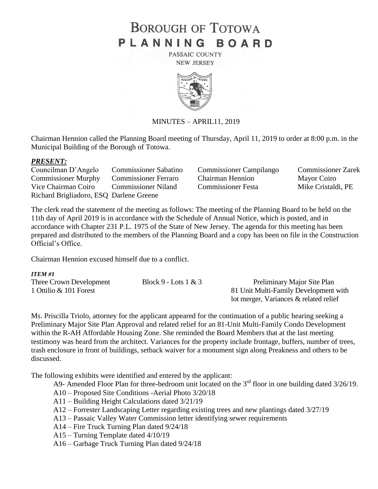# **BOROUGH OF TOTOWA** PLANNING BOARD

PASSAIC COUNTY **NEW JERSEY** 



## MINUTES – APRIL11, 2019

Chairman Hennion called the Planning Board meeting of Thursday, April 11, 2019 to order at 8:00 p.m. in the Municipal Building of the Borough of Totowa.

#### *PRESENT:*

Councilman D'Angelo Commissioner Sabatino Commissioner Campilango Commissioner Zarek Commissioner Murphy Commissioner Ferraro Chairman Hennion Mayor Coiro Vice Chairman Coiro Commissioner Niland Commissioner Festa Mike Cristaldi, PE Richard Brigliadoro, ESQ Darlene Greene

The clerk read the statement of the meeting as follows: The meeting of the Planning Board to be held on the 11th day of April 2019 is in accordance with the Schedule of Annual Notice, which is posted, and in accordance with Chapter 231 P.L. 1975 of the State of New Jersey. The agenda for this meeting has been prepared and distributed to the members of the Planning Board and a copy has been on file in the Construction Official's Office.

Chairman Hennion excused himself due to a conflict.

#### *ITEM #1*

| Three Crown Development | Block 9 - Lots $1 & 3$ | Preliminary Major Site Plan            |
|-------------------------|------------------------|----------------------------------------|
| 1 Ottilio & 101 Forest  |                        | 81 Unit Multi-Family Development with  |
|                         |                        | lot merger, Variances & related relief |

Ms. Priscilla Triolo, attorney for the applicant appeared for the continuation of a public hearing seeking a Preliminary Major Site Plan Approval and related relief for an 81-Unit Multi-Family Condo Development within the R-AH Affordable Housing Zone. She reminded the Board Members that at the last meeting testimony was heard from the architect. Variances for the property include frontage, buffers, number of trees, trash enclosure in front of buildings, setback waiver for a monument sign along Preakness and others to be discussed.

The following exhibits were identified and entered by the applicant:

- A9- Amended Floor Plan for three-bedroom unit located on the  $3<sup>rd</sup>$  floor in one building dated  $3/26/19$ .
- A10 Proposed Site Conditions -Aerial Photo 3/20/18
- A11 Building Height Calculations dated 3/21/19
- A12 Forrester Landscaping Letter regarding existing trees and new plantings dated 3/27/19
- A13 Passaic Valley Water Commission letter identifying sewer requirements
- A14 Fire Truck Turning Plan dated 9/24/18
- A15 Turning Template dated 4/10/19
- A16 Garbage Truck Turning Plan dated 9/24/18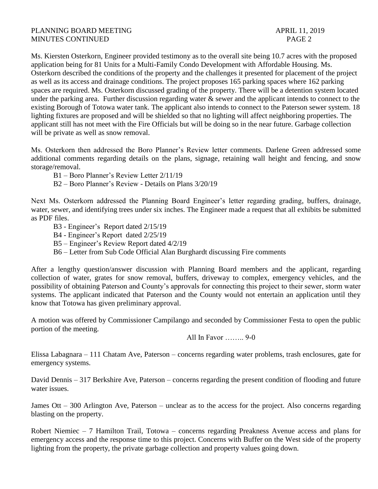Ms. Kiersten Osterkorn, Engineer provided testimony as to the overall site being 10.7 acres with the proposed application being for 81 Units for a Multi-Family Condo Development with Affordable Housing. Ms. Osterkorn described the conditions of the property and the challenges it presented for placement of the project as well as its access and drainage conditions. The project proposes 165 parking spaces where 162 parking spaces are required. Ms. Osterkorn discussed grading of the property. There will be a detention system located under the parking area. Further discussion regarding water & sewer and the applicant intends to connect to the existing Borough of Totowa water tank. The applicant also intends to connect to the Paterson sewer system. 18 lighting fixtures are proposed and will be shielded so that no lighting will affect neighboring properties. The applicant still has not meet with the Fire Officials but will be doing so in the near future. Garbage collection will be private as well as snow removal.

Ms. Osterkorn then addressed the Boro Planner's Review letter comments. Darlene Green addressed some additional comments regarding details on the plans, signage, retaining wall height and fencing, and snow storage/removal.

B1 – Boro Planner's Review Letter 2/11/19

B2 – Boro Planner's Review - Details on Plans 3/20/19

Next Ms. Osterkorn addressed the Planning Board Engineer's letter regarding grading, buffers, drainage, water, sewer, and identifying trees under six inches. The Engineer made a request that all exhibits be submitted as PDF files.

B3 - Engineer's Report dated 2/15/19

B4 - Engineer's Report dated 2/25/19

B5 – Engineer's Review Report dated 4/2/19

B6 – Letter from Sub Code Official Alan Burghardt discussing Fire comments

After a lengthy question/answer discussion with Planning Board members and the applicant, regarding collection of water, grates for snow removal, buffers, driveway to complex, emergency vehicles, and the possibility of obtaining Paterson and County's approvals for connecting this project to their sewer, storm water systems. The applicant indicated that Paterson and the County would not entertain an application until they know that Totowa has given preliminary approval.

A motion was offered by Commissioner Campilango and seconded by Commissioner Festa to open the public portion of the meeting.

All In Favor …….. 9-0

Elissa Labagnara – 111 Chatam Ave, Paterson – concerns regarding water problems, trash enclosures, gate for emergency systems.

David Dennis – 317 Berkshire Ave, Paterson – concerns regarding the present condition of flooding and future water issues.

James Ott – 300 Arlington Ave, Paterson – unclear as to the access for the project. Also concerns regarding blasting on the property.

Robert Niemiec – 7 Hamilton Trail, Totowa – concerns regarding Preakness Avenue access and plans for emergency access and the response time to this project. Concerns with Buffer on the West side of the property lighting from the property, the private garbage collection and property values going down.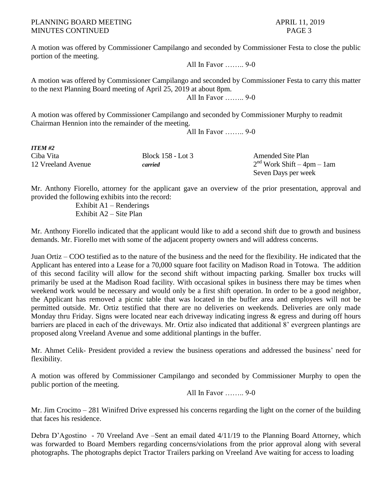A motion was offered by Commissioner Campilango and seconded by Commissioner Festa to close the public portion of the meeting.

All In Favor …….. 9-0

A motion was offered by Commissioner Campilango and seconded by Commissioner Festa to carry this matter to the next Planning Board meeting of April 25, 2019 at about 8pm. All In Favor …….. 9-0

A motion was offered by Commissioner Campilango and seconded by Commissioner Murphy to readmit Chairman Hennion into the remainder of the meeting.

All In Favor …….. 9-0

| <b>ITEM #2</b>     |                   |                              |
|--------------------|-------------------|------------------------------|
| Ciba Vita          | Block 158 - Lot 3 | <b>Amended Site Plan</b>     |
| 12 Vreeland Avenue | carried           | $2nd$ Work Shift – 4pm – 1am |
|                    |                   | Seven Days per week          |

Mr. Anthony Fiorello, attorney for the applicant gave an overview of the prior presentation, approval and provided the following exhibits into the record:

Exhibit A1 – Renderings Exhibit A2 – Site Plan

Mr. Anthony Fiorello indicated that the applicant would like to add a second shift due to growth and business demands. Mr. Fiorello met with some of the adjacent property owners and will address concerns.

Juan Ortiz – COO testified as to the nature of the business and the need for the flexibility. He indicated that the Applicant has entered into a Lease for a 70,000 square foot facility on Madison Road in Totowa. The addition of this second facility will allow for the second shift without impacting parking. Smaller box trucks will primarily be used at the Madison Road facility. With occasional spikes in business there may be times when weekend work would be necessary and would only be a first shift operation. In order to be a good neighbor, the Applicant has removed a picnic table that was located in the buffer area and employees will not be permitted outside. Mr. Ortiz testified that there are no deliveries on weekends. Deliveries are only made Monday thru Friday. Signs were located near each driveway indicating ingress & egress and during off hours barriers are placed in each of the driveways. Mr. Ortiz also indicated that additional 8' evergreen plantings are proposed along Vreeland Avenue and some additional plantings in the buffer.

Mr. Ahmet Celik- President provided a review the business operations and addressed the business' need for flexibility.

A motion was offered by Commissioner Campilango and seconded by Commissioner Murphy to open the public portion of the meeting.

All In Favor …….. 9-0

Mr. Jim Crocitto – 281 Winifred Drive expressed his concerns regarding the light on the corner of the building that faces his residence.

Debra D'Agostino - 70 Vreeland Ave –Sent an email dated 4/11/19 to the Planning Board Attorney, which was forwarded to Board Members regarding concerns/violations from the prior approval along with several photographs. The photographs depict Tractor Trailers parking on Vreeland Ave waiting for access to loading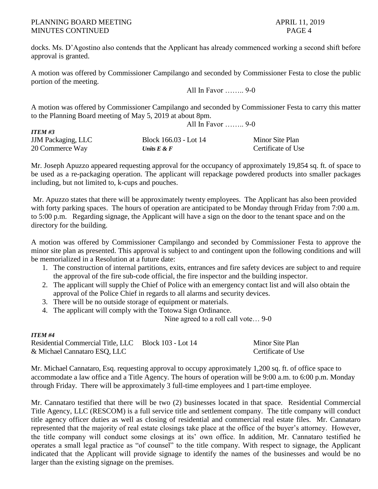## PLANNING BOARD MEETING APRIL 11, 2019 MINUTES CONTINUED PAGE 4

docks. Ms. D'Agostino also contends that the Applicant has already commenced working a second shift before approval is granted.

A motion was offered by Commissioner Campilango and seconded by Commissioner Festa to close the public portion of the meeting.

All In Favor …….. 9-0

A motion was offered by Commissioner Campilango and seconded by Commissioner Festa to carry this matter to the Planning Board meeting of May 5, 2019 at about 8pm. All In Favor …….. 9-0

| <b>ITEM #3</b>            |                       |                    |
|---------------------------|-----------------------|--------------------|
| <b>JJM</b> Packaging, LLC | Block 166.03 - Lot 14 | Minor Site Plan    |
| 20 Commerce Way           | Units $E \& F$        | Certificate of Use |

Mr. Joseph Apuzzo appeared requesting approval for the occupancy of approximately 19,854 sq. ft. of space to be used as a re-packaging operation. The applicant will repackage powdered products into smaller packages including, but not limited to, k-cups and pouches.

Mr. Apuzzo states that there will be approximately twenty employees. The Applicant has also been provided with forty parking spaces. The hours of operation are anticipated to be Monday through Friday from 7:00 a.m. to 5:00 p.m. Regarding signage, the Applicant will have a sign on the door to the tenant space and on the directory for the building.

A motion was offered by Commissioner Campilango and seconded by Commissioner Festa to approve the minor site plan as presented. This approval is subject to and contingent upon the following conditions and will be memorialized in a Resolution at a future date:

- 1. The construction of internal partitions, exits, entrances and fire safety devices are subject to and require the approval of the fire sub-code official, the fire inspector and the building inspector.
- 2. The applicant will supply the Chief of Police with an emergency contact list and will also obtain the approval of the Police Chief in regards to all alarms and security devices.
- 3. There will be no outside storage of equipment or materials.
- 4. The applicant will comply with the Totowa Sign Ordinance.

Nine agreed to a roll call vote… 9-0

# *ITEM #4*

Residential Commercial Title, LLC Block 103 - Lot 14 Minor Site Plan & Michael Cannataro ESQ, LLC Certificate of Use

Mr. Michael Cannataro, Esq. requesting approval to occupy approximately 1,200 sq. ft. of office space to accommodate a law office and a Title Agency. The hours of operation will be 9:00 a.m. to 6:00 p.m. Monday through Friday. There will be approximately 3 full-time employees and 1 part-time employee.

Mr. Cannataro testified that there will be two (2) businesses located in that space. Residential Commercial Title Agency, LLC (RESCOM) is a full service title and settlement company. The title company will conduct title agency officer duties as well as closing of residential and commercial real estate files. Mr. Cannataro represented that the majority of real estate closings take place at the office of the buyer's attorney. However, the title company will conduct some closings at its' own office. In addition, Mr. Cannataro testified he operates a small legal practice as "of counsel" to the title company. With respect to signage, the Applicant indicated that the Applicant will provide signage to identify the names of the businesses and would be no larger than the existing signage on the premises.